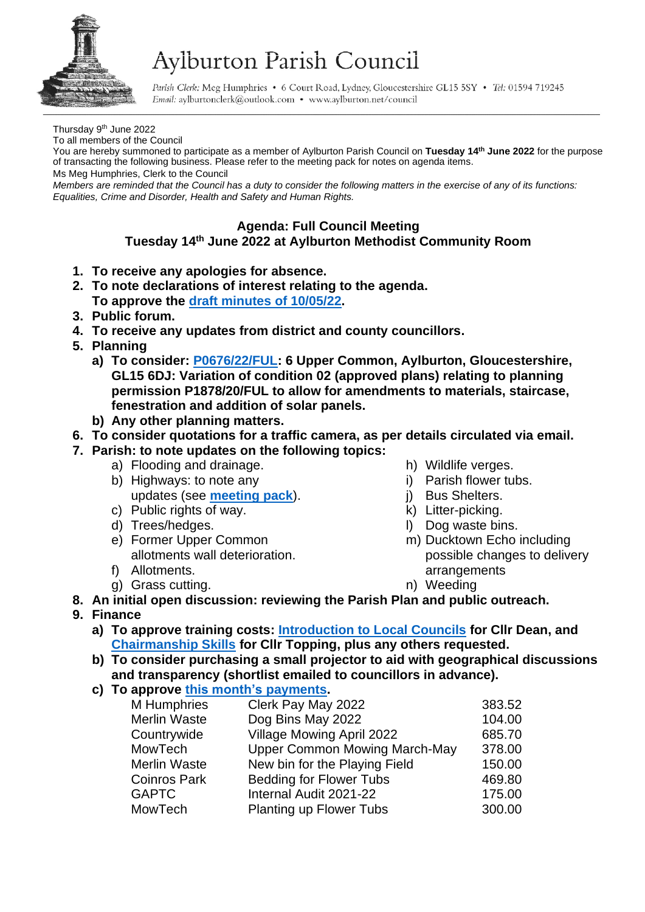

# Aylburton Parish Council

Parish Clerk: Meg Humphries . 6 Court Road, Lydney, Gloucestershire GL15 5SY . Tel: 01594 719245 Email: aylburtonclerk@outlook.com • www.aylburton.net/council

Thursday 9<sup>th</sup> June 2022

To all members of the Council

You are hereby summoned to participate as a member of Aylburton Parish Council on **Tuesday 14 th June 2022** for the purpose of transacting the following business. Please refer to the meeting pack for notes on agenda items.

Ms Meg Humphries, Clerk to the Council

*Members are reminded that the Council has a duty to consider the following matters in the exercise of any of its functions: Equalities, Crime and Disorder, Health and Safety and Human Rights.*

# **Agenda: Full Council Meeting**

# **Tuesday 14 th June 2022 at Aylburton Methodist Community Room**

- **1. To receive any apologies for absence.**
- **2. To note declarations of interest relating to the agenda. To approve the draft [minutes of](http://aylburton.net/wp-content/uploads/2022/06/220510-DRAFT-Minutes-Full-Council-Meeting-10.05.22.pdf) 10/05/22.**
- **3. Public forum.**
- **4. To receive any updates from district and county councillors.**
- **5. Planning**
	- **a) To consider: [P0676/22/FUL:](https://publicaccess.fdean.gov.uk/online-applications/applicationDetails.do?activeTab=summary&keyVal=RBYSVSHIHLT00) 6 Upper Common, Aylburton, Gloucestershire, GL15 6DJ: Variation of condition 02 (approved plans) relating to planning permission P1878/20/FUL to allow for amendments to materials, staircase, fenestration and addition of solar panels.**
	- **b) Any other planning matters.**

## **6. To consider quotations for a traffic camera, as per details circulated via email.**

- **7. Parish: to note updates on the following topics:**
	- a) Flooding and drainage.
	- b) Highways: to note any updates (see **[meeting pack](http://aylburton.net/wp-content/uploads/2022/06/220614-Meeting-Pack-June-2022-Full-Council-14.06.22.pdf)**).
	- c) Public rights of way.
	- d) Trees/hedges.
	- e) Former Upper Common allotments wall deterioration.
	- f) Allotments.
	- g) Grass cutting.
- h) Wildlife verges.
- i) Parish flower tubs.
- j) Bus Shelters.
- k) Litter-picking.
- l) Dog waste bins.
- m) Ducktown Echo including possible changes to delivery arrangements
- n) Weeding

### **8. An initial open discussion: reviewing the Parish Plan and public outreach.**

- **9. Finance**
	- **a) To approve training costs: [Introduction to Local Councils](https://www.gaptc.org.uk/introduction-to-local-councils.html) for Cllr Dean, and [Chairmanship Skills](https://www.gaptc.org.uk/chairmans-training.html) for Cllr Topping, plus any others requested.**
	- **b) To consider purchasing a small projector to aid with geographical discussions and transparency (shortlist emailed to councillors in advance).**
	- **c) To approve [this month's](http://aylburton.net/wp-content/uploads/2022/06/2022-06-Schedule-of-Payments-June-2022.pdf) payments.**

| M Humphries         | Clerk Pay May 2022                   | 383.52 |
|---------------------|--------------------------------------|--------|
| Merlin Waste        | Dog Bins May 2022                    | 104.00 |
| Countrywide         | Village Mowing April 2022            | 685.70 |
| <b>MowTech</b>      | <b>Upper Common Mowing March-May</b> | 378.00 |
| <b>Merlin Waste</b> | New bin for the Playing Field        | 150.00 |
| <b>Coinros Park</b> | <b>Bedding for Flower Tubs</b>       | 469.80 |
| <b>GAPTC</b>        | Internal Audit 2021-22               | 175.00 |
| <b>MowTech</b>      | <b>Planting up Flower Tubs</b>       | 300.00 |
|                     |                                      |        |